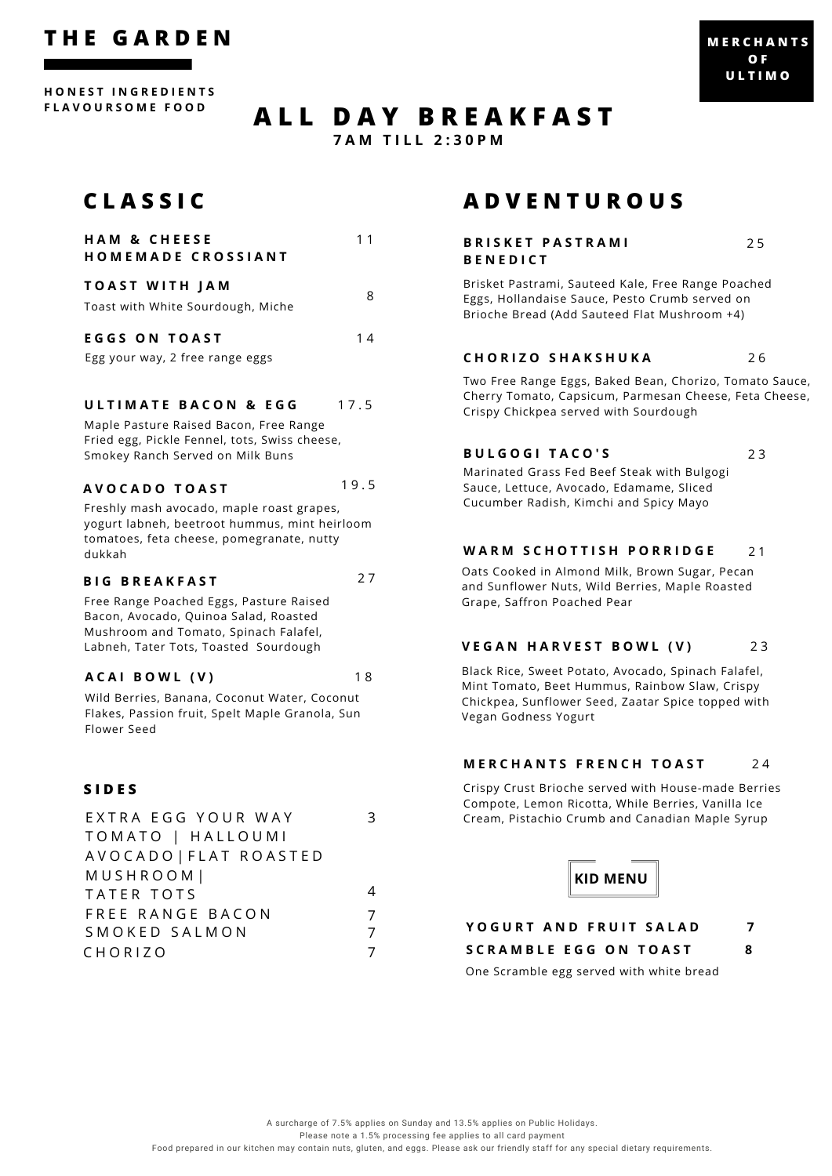

**H O N E S T I N G R E D I E N T S F L A V O U R S O M E F O O D**

# **A L L D A Y B R E A K F A S T**

**7 A M T I L L 2 : 3 0 P M**

2 7

# **C L A S S I C**

| <b>HAM &amp; CHEESE</b>                                    | 11 |
|------------------------------------------------------------|----|
| <b>HOMEMADE CROSSIANT</b>                                  |    |
| <b>TOAST WITH JAM</b><br>Toast with White Sourdough, Miche | 8  |
| <b>EGGS ON TOAST</b>                                       | 14 |
| Egg your way, 2 free range eggs                            |    |

#### **U L T I M A T E B A C O N & E G G** 1 7 . 5

Maple Pasture Raised Bacon, Free Range Fried egg, Pickle Fennel, tots, Swiss cheese, Smokey Ranch Served on Milk Buns

#### **A V O C A D O T O A S T** 1 9 . 5

Freshly mash avocado, maple roast grapes, yogurt labneh, beetroot hummus, mint heirloom tomatoes, feta cheese, pomegranate, nutty dukkah

#### **B I G B R E A K F A S T**

Free Range Poached Eggs, Pasture Raised Bacon, Avocado, Quinoa Salad, Roasted Mushroom and Tomato, Spinach Falafel, Labneh, Tater Tots, Toasted Sourdough

#### **A C A I B O W L ( V )** 1 8

Wild Berries, Banana, Coconut Water, Coconut Flakes, Passion fruit, Spelt Maple Granola, Sun Flower Seed

#### **S I D E S**

| EXTRA EGG YOUR WAY     |   |
|------------------------|---|
| TOMATO   HALLOUMI      |   |
| AVOCADO   FLAT ROASTED |   |
| MUSHROOM               |   |
| TATER TOTS             |   |
| FREE RANGE BACON       |   |
| SMOKED SALMON          | 7 |
| CHORIZO                |   |

# **A D V E N T U R O U S**

| <b>BRISKET PASTRAMI</b> |  |
|-------------------------|--|
| <b>BENEDICT</b>         |  |

Brisket Pastrami, Sauteed Kale, Free Range Poached Eggs, Hollandaise Sauce, Pesto Crumb served on Brioche Bread (Add Sauteed Flat Mushroom +4)

#### **C H O R I Z O S H A K S H U K A** 2 6

Two Free Range Eggs, Baked Bean, Chorizo, Tomato Sauce, Cherry Tomato, Capsicum, Parmesan Cheese, Feta Cheese, Crispy Chickpea served with Sourdough

#### **B U L G O G I T A C O ' S**

2 3

Marinated Grass Fed Beef Steak with Bulgogi Sauce, Lettuce, Avocado, Edamame, Sliced Cucumber Radish, Kimchi and Spicy Mayo

#### **W A R M S C H O T T I S H P O R R I D G E** 2 1

Oats Cooked in Almond Milk, Brown Sugar, Pecan and Sunflower Nuts, Wild Berries, Maple Roasted Grape, Saffron Poached Pear

#### **V E G A N H A R V E S T B O W L ( V )** 2 3

Black Rice, Sweet Potato, Avocado, Spinach Falafel, Mint Tomato, Beet Hummus, Rainbow Slaw, Crispy Chickpea, Sunflower Seed, Zaatar Spice topped with Vegan Godness Yogurt

#### **M E R C H A N T S F R E N C H T O A S T** 2 4

Crispy Crust Brioche served with House-made Berries Compote, Lemon Ricotta, While Berries, Vanilla Ice Cream, Pistachio Crumb and Canadian Maple Syrup



## **Y O G U R T A N D F R U I T S A L A D 7 S C R A M B L E E G G O N T O A S T 8**

One Scramble egg served with white bread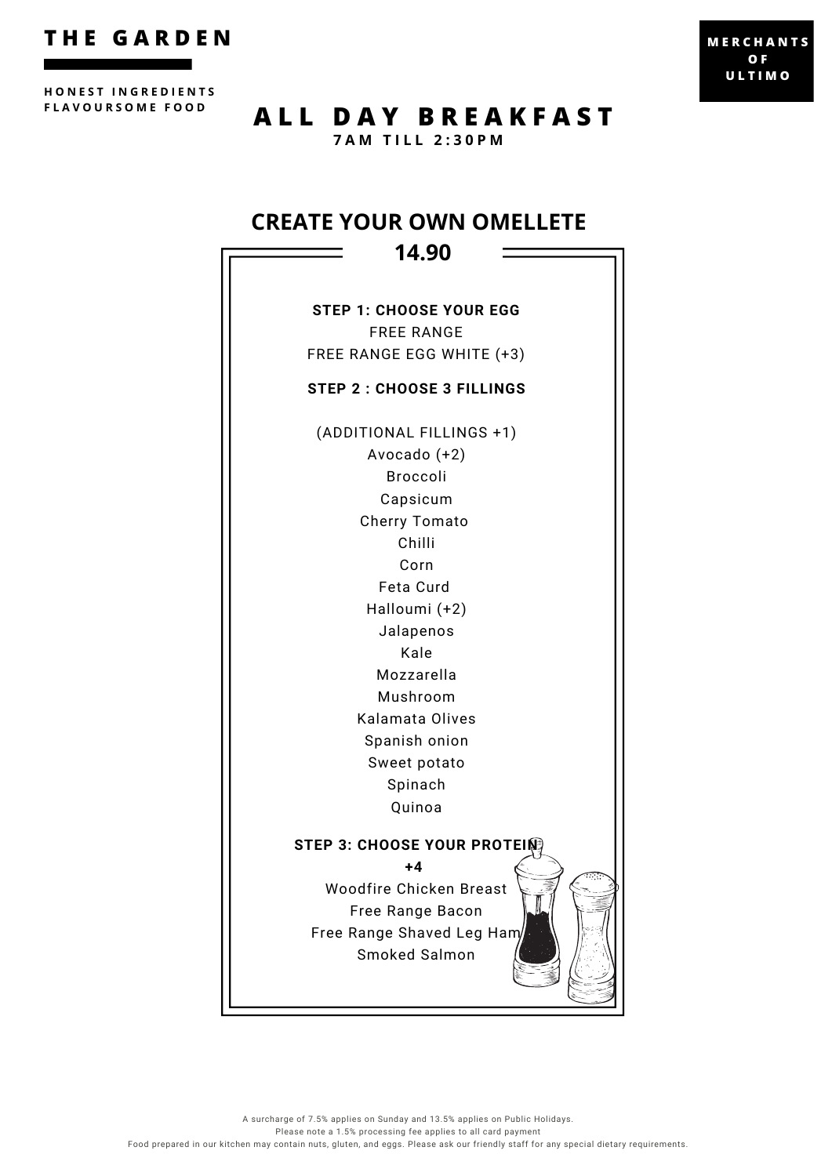

**HONEST INGREDIENTS**<br>FLAVOURSOME FOOD

# ALL DAY BREAKFAST

**M E R C H A N T S O F U L T I M O**

**7 A M T I L L 2 : 3 0 P M**

## **CREATE YOUR OWN OMELLETE**

## **14.90**

**STEP 1: CHOOSE YOUR EGG** FREE RANGE FREE RANGE EGG WHITE (+3)

**STEP 2 : CHOOSE 3 FILLINGS**

(ADDITIONAL FILLINGS +1) Avocado (+2) Broccoli Capsicum Cherry Tomato Chilli Corn Feta Curd Halloumi (+2) Jalapenos Kale Mozzarella Mushroom Kalamata Olives Spanish onion Sweet potato Spinach Quinoa **STEP 3: CHOOSE YOUR PROTEIN +4**

Woodfire Chicken Breast Free Range Bacon Free Range Shaved Leg Har Smoked Salmon

A surcharge of 7.5% applies on Sunday and 13.5% applies on Public Holidays. Please note a 1.5% processing fee applies to all card payment Food prepared in our kitchen may contain nuts, gluten, and eggs. Please ask our friendly staff for any special dietary requirements.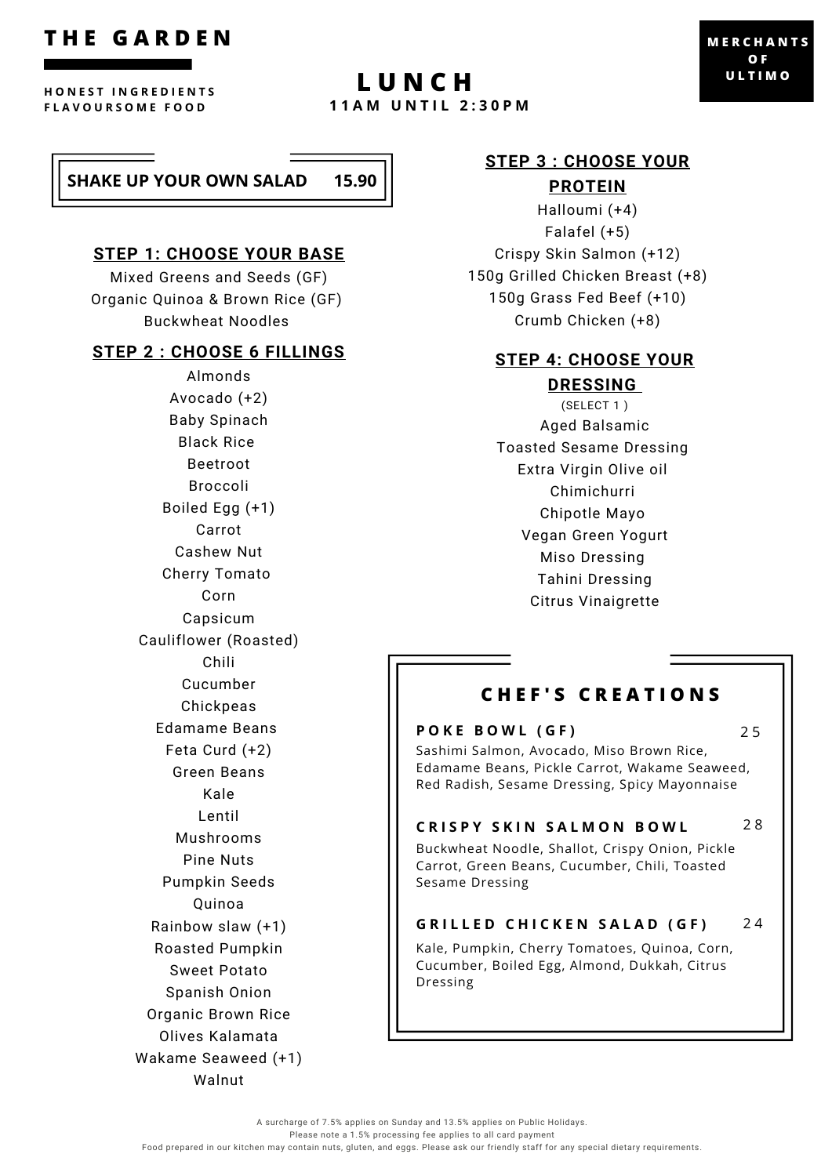

**H O N E S T I N G R E D I E N T S F L A V O U R S O M E F O O D**

**M E R C H A N T S O F U L T I M O**

# **SHAKE UP YOUR OWN SALAD 15.90**

## **STEP 1: CHOOSE YOUR BASE**

Mixed Greens and Seeds (GF) Organic Quinoa & Brown Rice (GF) Buckwheat Noodles

## **STEP 2 : CHOOSE 6 FILLINGS**

Almonds Avocado (+2) Baby Spinach Black Rice Beetroot Broccoli Boiled Egg (+1) Carrot Cashew Nut Cherry Tomato Corn Capsicum Cauliflower (Roasted) Chili Cucumber **Chickpeas** Edamame Beans Feta Curd (+2) Green Beans Kale Lentil Mushrooms Pine Nuts Pumpkin Seeds Quinoa Rainbow slaw (+1) Roasted Pumpkin Sweet Potato Spanish Onion Organic Brown Rice Olives Kalamata Wakame Seaweed (+1) Walnut

## **STEP 3 : CHOOSE YOUR PROTEIN**

**L U N C H 1 1 A M U N T I L 2 : 3 0 P M**

> Halloumi (+4) Falafel (+5) Crispy Skin Salmon (+12) 150g Grilled Chicken Breast (+8) 150g Grass Fed Beef (+10) Crumb Chicken (+8)

## **STEP 4: CHOOSE YOUR**

## **DRESSING**

(SELECT 1 ) Aged Balsamic Toasted Sesame Dressing Extra Virgin Olive oil Chimichurri Chipotle Mayo Vegan Green Yogurt Miso Dressing Tahini Dressing Citrus Vinaigrette

## **C H E F ' S C R E A T I O N S**

2 5

**P O K E B O W L ( G F )** Sashimi Salmon, Avocado, Miso Brown Rice, Edamame Beans, Pickle Carrot, Wakame Seaweed, Red Radish, Sesame Dressing, Spicy Mayonnaise

#### **C R I S P Y S K I N S A L M O N B O W L** 2 8

Buckwheat Noodle, Shallot, Crispy Onion, Pickle Carrot, Green Beans, Cucumber, Chili, Toasted Sesame Dressing

#### **G R I L L E D C H I C K E N S A L A D ( G F )** 2 4

Kale, Pumpkin, Cherry Tomatoes, Quinoa, Corn, Cucumber, Boiled Egg, Almond, Dukkah, Citrus Dressing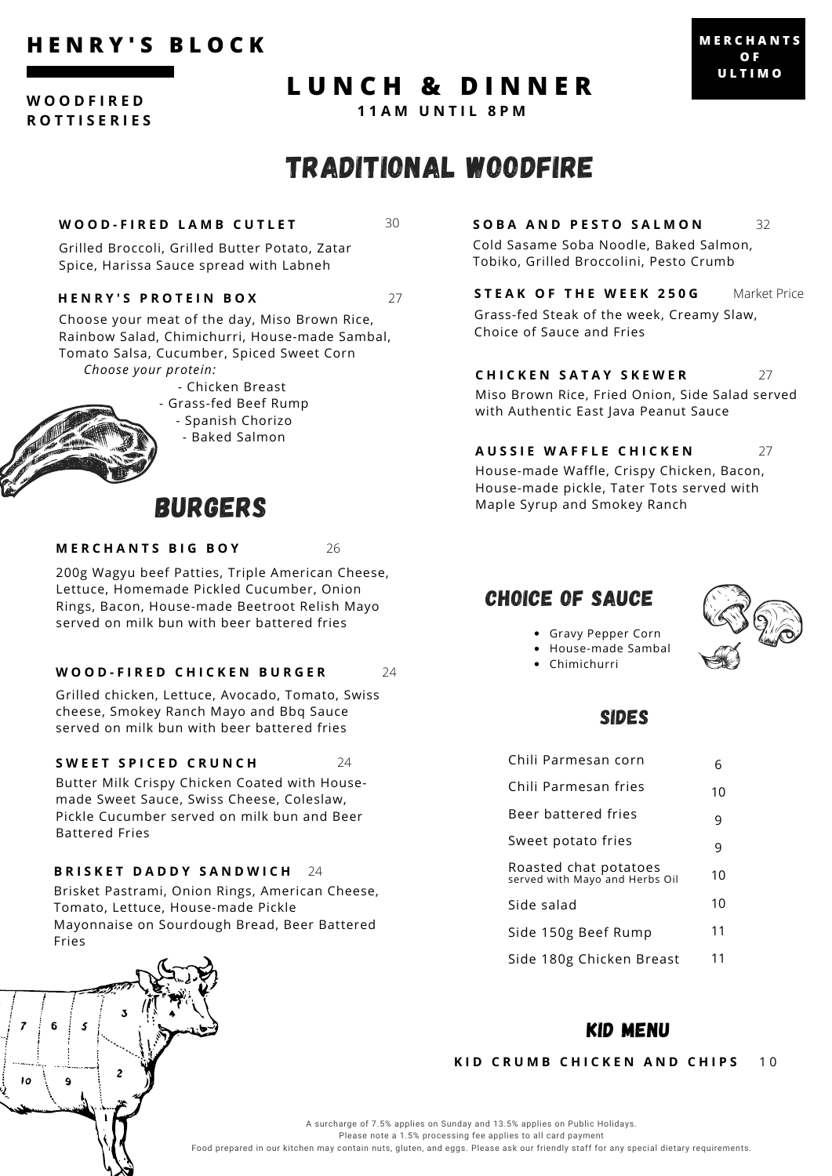## **H E N R Y ' S B L O C K**

#### **W O O D F I R E D R O T T I S E R I E S**

**L U N C H & D I N N E R**

**1 1 A M U N T I L 8 P M**

# TRADITIONAL WOODFIRE

#### **W O O D - F I R E D L A M B C U T L E T** 30

27

Grilled Broccoli, Grilled Butter Potato, Zatar Spice, Harissa Sauce spread with Labneh

#### **H E N R Y ' S P R O T E I N B O X**

Choose your meat of the day, Miso Brown Rice, Rainbow Salad, Chimichurri, House-made Sambal, Tomato Salsa, Cucumber, Spiced Sweet Corn *Choose your protein:*

- Chicken Breast
	- Grass-fed Beef Rump
	- Spanish Chorizo
	- Baked Salmon

## BURGERS

#### **M E R C H A N T S B I G B O Y** 26

200g Wagyu beef Patties, Triple American Cheese, Lettuce, Homemade Pickled Cucumber, Onion Rings, Bacon, House-made Beetroot Relish Mayo served on milk bun with beer battered fries

#### **W O O D - F I R E D C H I C K E N B U R G E R** 24

Grilled chicken, Lettuce, Avocado, Tomato, Swiss cheese, Smokey Ranch Mayo and Bbq Sauce served on milk bun with beer battered fries

#### **S W E E T S P I C E D C R U N C H** 24

Butter Milk Crispy Chicken Coated with Housemade Sweet Sauce, Swiss Cheese, Coleslaw, Pickle Cucumber served on milk bun and Beer Battered Fries

#### **B R I S K E T D A D D Y S A N D W I C H** 24

Brisket Pastrami, Onion Rings, American Cheese, Tomato, Lettuce, House-made Pickle Mayonnaise on Sourdough Bread, Beer Battered Fries



#### **S O B A A N D P E S T O S A L M O N** 32

Cold Sasame Soba Noodle, Baked Salmon, Tobiko, Grilled Broccolini, Pesto Crumb

Grass-fed Steak of the week, Creamy Slaw, Choice of Sauce and Fries **S T E A K O F T H E W E E K 2 5 0 G** Market Price

#### **C H I C K E N S A T A Y S K E W E R**

Miso Brown Rice, Fried Onion, Side Salad served with Authentic East Java Peanut Sauce

#### **A U S S I E W A F F L E C H I C K E N**

House-made Waffle, Crispy Chicken, Bacon, House-made pickle, Tater Tots served with Maple Syrup and Smokey Ranch

## CHOICE OF SAUCE

Chimichurri



27

27

- Gravy Pepper Corn House-made Sambal
	- SIDES

| Chili Parmesan corn                                     | 6  |
|---------------------------------------------------------|----|
| Chili Parmesan fries                                    | 10 |
| Beer battered fries                                     | 9  |
| Sweet potato fries                                      | 9  |
| Roasted chat potatoes<br>served with Mayo and Herbs Oil | 10 |
| Side salad                                              | 10 |
| Side 150g Beef Rump                                     | 11 |
| Side 180g Chicken Breast                                | 11 |

## KID MENU

**K I D C R U M B C H I C K E N A N D C H I P S** 1 0

A surcharge of 7.5% applies on Sunday and 13.5% applies on Public Holidays. Please note a 1.5% processing fee applies to all card payment

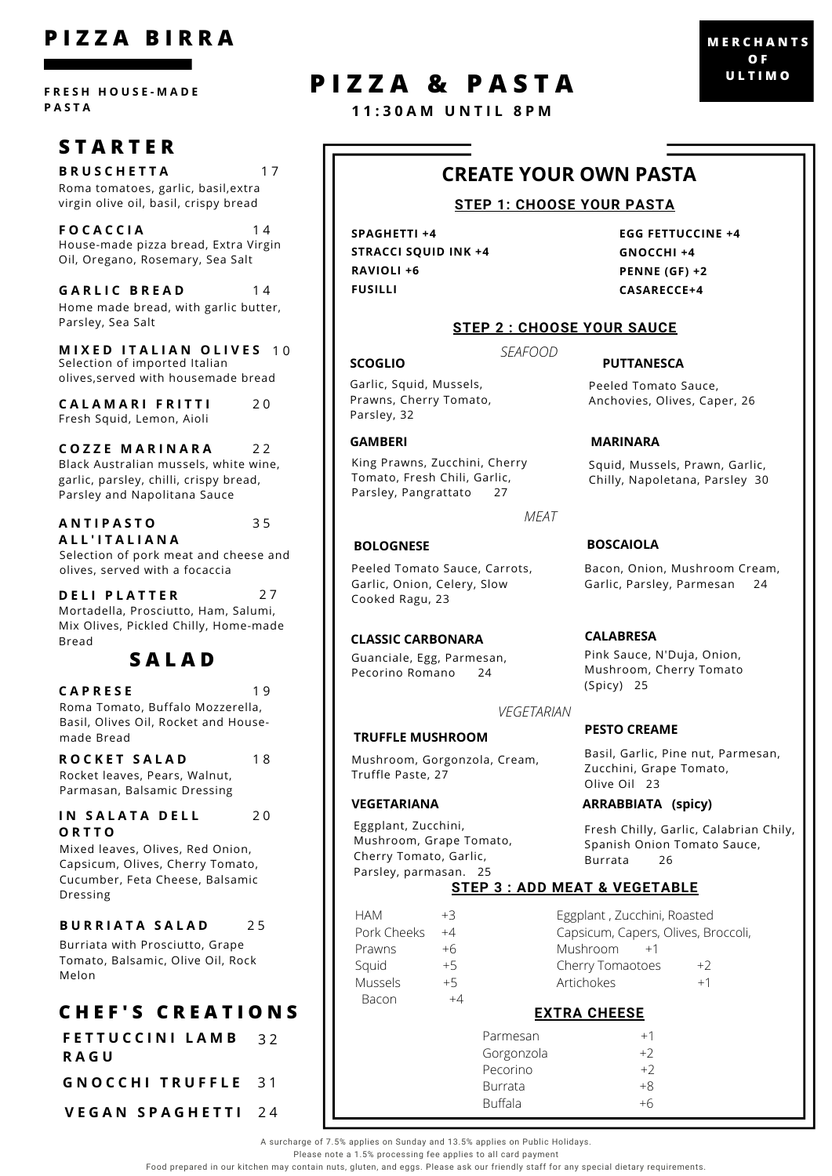## **P I Z Z A B I R R A**

**F R E S H H O U S E - M A D E P A S T A**

## **S T A R T E R**

**B R U S C H E T T A** 1 7 Roma tomatoes, garlic, basil,extra virgin olive oil, basil, crispy bread

**F O C A C C I A** House-made pizza bread, Extra Virgin Oil, Oregano, Rosemary, Sea Salt  $1\,4$ 

**G A R L I C B R E A D** Home made bread, with garlic butter, Parsley, Sea Salt  $14$ 

**M I X E D I T A L I A N O L I V E S** 1 0 Selection of imported Italian olives,served with housemade bread

 $20$ 

**C A L A M A R I F R I T T I** Fresh Squid, Lemon, Aioli

**C O Z Z E M A R I N A R A** Black Australian mussels, white wine, garlic, parsley, chilli, crispy bread, Parsley and Napolitana Sauce  $22$ 

**A N T I P A S T O A L L ' I T A L I A N A** Selection of pork meat and cheese and olives, served with a focaccia 3 5

**D E L I P L A T T E R** Mortadella, Prosciutto, Ham, Salumi, Mix Olives, Pickled Chilly, Home-made Bread 2 7

## **S A L A D**

**C A P R E S E** Roma Tomato, Buffalo Mozzerella, Basil, Olives Oil, Rocket and Housemade Bread 1 9

**R O C K E T S A L A D** Rocket leaves, Pears, Walnut, Parmasan, Balsamic Dressing 1 8

**I N S A L A T A D E L L O R T T O** 2 0

Mixed leaves, Olives, Red Onion, Capsicum, Olives, Cherry Tomato, Cucumber, Feta Cheese, Balsamic Dressing

**B U R R I A T A S A L A D**  $25$ 

Burriata with Prosciutto, Grape Tomato, Balsamic, Olive Oil, Rock Melon

## **C H E F ' S C R E A T I O N S**

**F E T T U C C I N I L A M B R A G U** 3 2

**G N O C C H I T R U F F L E** 3 1

**V E G A N S P A G H E T T I** 2 4

# **P I Z Z A & P A S T A**

**1 1 : 3 0 A M U N T I L 8 P M**

## **CREATE YOUR OWN PASTA**

#### **STEP 1: CHOOSE YOUR PASTA**

**SPAGHETTI +4 STRACCI SQUID INK +4 RAVIOLI +6 FUSILLI**

**EGG FETTUCCINE +4 GNOCCHI +4 PENNE (GF) +2 CASARECCE+4**

**PUTTANESCA** Peeled Tomato Sauce, Anchovies, Olives, Caper, 26

**BOSCAIOLA**

**MARINARA**

**CALABRESA** 

(Spicy) 25

#### **STEP 2 : CHOOSE YOUR SAUCE**

#### **SCOGLIO**

*SEAFOOD*

Garlic, Squid, Mussels, Prawns, Cherry Tomato, Parsley, 32

#### **GAMBERI**

King Prawns, Zucchini, Cherry Tomato, Fresh Chili, Garlic, Parsley, Pangrattato 27

*MEAT*

#### **BOLOGNESE**

Peeled Tomato Sauce, Carrots, Garlic, Onion, Celery, Slow Cooked Ragu, 23

**CLASSIC CARBONARA** Guanciale, Egg, Parmesan,

Pecorino Romano 24

*VEGETARIAN*

#### **TRUFFLE MUSHROOM**

Mushroom, Gorgonzola, Cream, Truffle Paste, 27

#### **VEGETARIANA**

Eggplant, Zucchini, Mushroom, Grape Tomato, Cherry Tomato, Garlic, Parsley, parmasan. 25

**PESTO CREAME** Basil, Garlic, Pine nut, Parmesan,

Pink Sauce, N'Duja, Onion, Mushroom, Cherry Tomato

Zucchini, Grape Tomato, Olive Oil 23

Bacon, Onion, Mushroom Cream, Garlic, Parsley, Parmesan 24

Squid, Mussels, Prawn, Garlic, Chilly, Napoletana, Parsley 30

#### **ARRABBIATA (spicy)**

Fresh Chilly, Garlic, Calabrian Chily, Spanish Onion Tomato Sauce, Burrata 26

#### **STEP 3 : ADD MEAT & VEGETABLE**

| <b>HAM</b>     | $+3$ | Eggplant, Zucchini, Roasted         |      |
|----------------|------|-------------------------------------|------|
| Pork Cheeks    | $+4$ | Capsicum, Capers, Olives, Broccoli, |      |
| Prawns         | $+6$ | <b>Mushroom</b><br>$+1$             |      |
| Squid          | $+5$ | Cherry Tomaotoes                    | $+2$ |
| <b>Mussels</b> | $+5$ | Artichokes                          | $+1$ |
| Bacon          | $+4$ |                                     |      |
|                |      | EVTDA CUEECE                        |      |

#### **EXTRA CHEESE**

| Parmesan       | $+1$ |
|----------------|------|
| Gorgonzola     | $+2$ |
| Pecorino       | $+2$ |
| Burrata        | $+8$ |
| <b>Buffala</b> | $+6$ |
|                |      |

A surcharge of 7.5% applies on Sunday and 13.5% applies on Public Holidays.

Please note a 1.5% processing fee applies to all card payment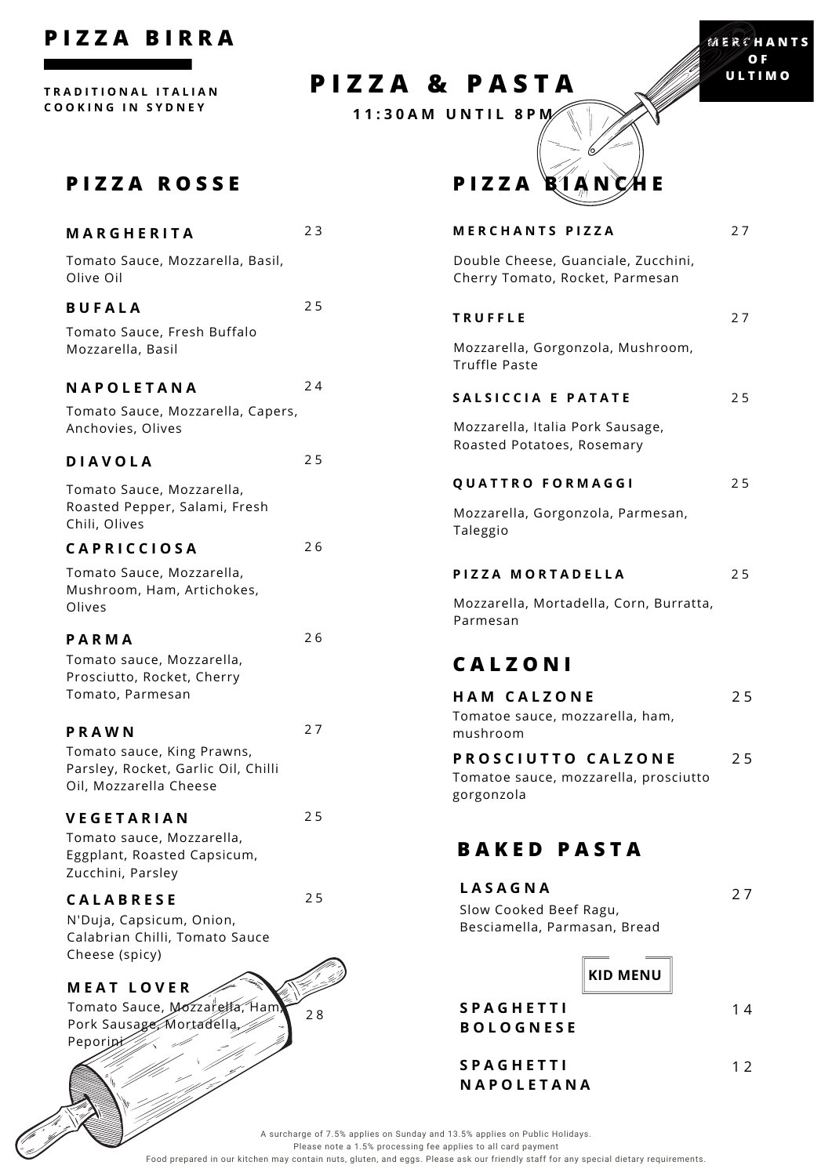## **P I Z Z A B I R R A**

**T R A D I T I O N A L I T A L I A N C O O K I N G I N S Y D N E Y**

## **P I Z Z A R O S S E**

## **M A R G H E R I T A** Tomato Sauce, Mozzarella, Basil, Olive Oil **B U F A L A**

2 3

2 5

2 4

2 5

2 6

2 6

2 7

2 5

2 5

Tomato Sauce, Fresh Buffalo Mozzarella, Basil

#### **N A P O L E T A N A**

Tomato Sauce, Mozzarella, Capers, Anchovies, Olives

## **D I A V O L A**

Tomato Sauce, Mozzarella, Roasted Pepper, Salami, Fresh Chili, Olives

## **C A P R I C C I O S A**

Tomato Sauce, Mozzarella, Mushroom, Ham, Artichokes, Olives

#### **P A R M A**

Tomato sauce, Mozzarella, Prosciutto, Rocket, Cherry Tomato, Parmesan

## **P R A W N**

Tomato sauce, King Prawns, Parsley, Rocket, Garlic Oil, Chilli Oil, Mozzarella Cheese

## **V E G E T A R I A N**

Tomato sauce, Mozzarella, Eggplant, Roasted Capsicum, Zucchini, Parsley

#### **C A L A B R E S E**

N'Duja, Capsicum, Onion, Calabrian Chilli, Tomato Sauce

## **M E A T L O V E R**

Cheese (spicy)

Tomato Sauce, Mozzarella, Ham Pork Sausage, Mortadella Peporini 2 8

# **P I Z Z A & P A S T A**

**1 1 : 3 0 A M U N T I L 8 P M**

# **P I Z Z A B I A N C H E M E R C H A N T S P I Z Z A**

**M E R C H A N T S O F U L T I M O**

2 7

Double Cheese, Guanciale, Zucchini, Cherry Tomato, Rocket, Parmesan

#### **T R U F F L E** 2 7

Mozzarella, Gorgonzola, Mushroom, Truffle Paste

#### **S A L S I C C I A E P A T A T E**  $25$

Mozzarella, Italia Pork Sausage, Roasted Potatoes, Rosemary

#### **Q U A T T R O F O R M A G G I** 2 5

Mozzarella, Gorgonzola, Parmesan, Taleggio

#### **P I Z Z A M O R T A D E L L A** 2 5

Mozzarella, Mortadella, Corn, Burratta, Parmesan

## **C A L Z O N I**

**H A M C A L Z O N E** Tomatoe sauce, mozzarella, ham, mushroom 2 5 **P R O S C I U T T O C A L Z O N E** Tomatoe sauce, mozzarella, prosciutto gorgonzola 2 5

## **B A K E D P A S T A**

| LASAGNA                      | 27 |
|------------------------------|----|
| Slow Cooked Beef Ragu,       |    |
| Besciamella, Parmasan, Bread |    |

## **KID MENU**

1 4

**S P A G H E T T I B O L O G N E S E**

**S P A G H E T T I N A P O L E T A N A** 1 2

A surcharge of 7.5% applies on Sunday and 13.5% applies on Public Holidays.

Please note a 1.5% processing fee applies to all card payment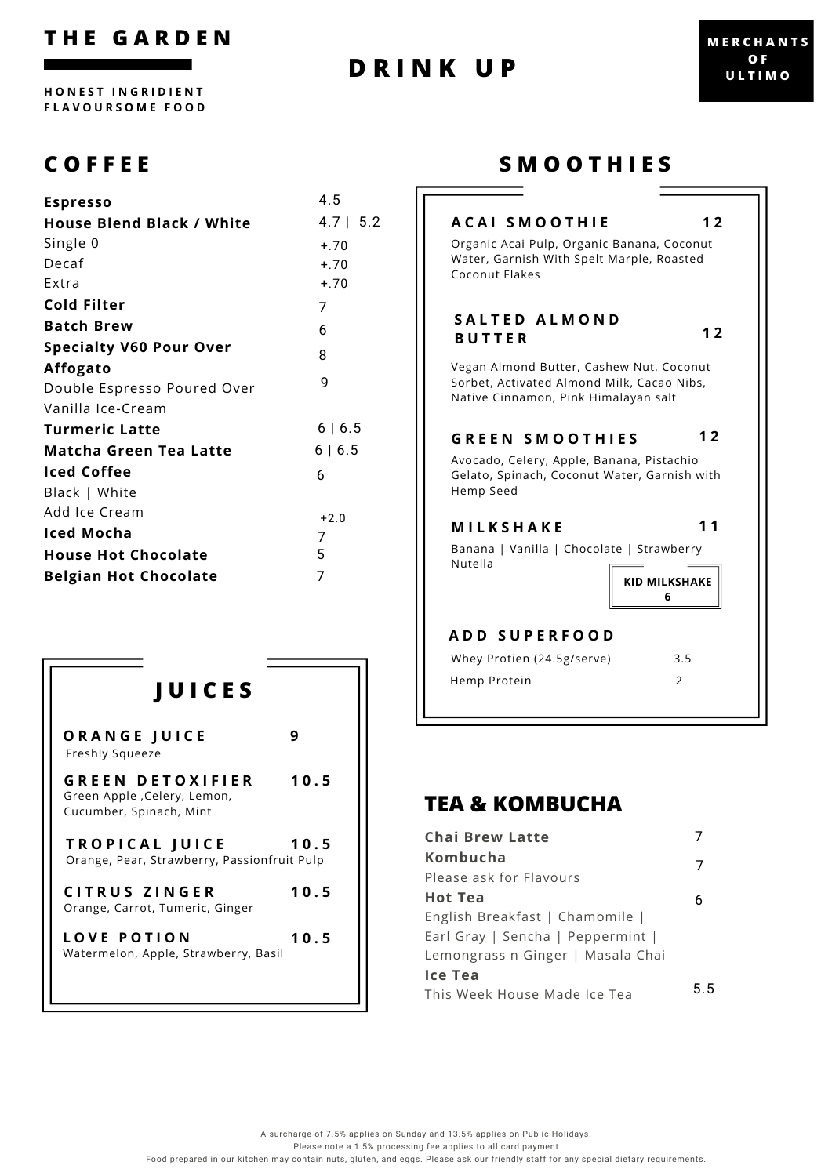## **T H E G A R D E N**

# **D R I N K U P D E D E D E D E D E D E D E D E D E D E D E**

**H O N E S T I N G R I D I E N T F L A V O U R S O M E F O O D**

# **C O F F E E**

| <b>Espresso</b>                  | 4.5          |
|----------------------------------|--------------|
| <b>House Blend Black / White</b> | $4.7$   5.2  |
| Single 0                         | $+.70$       |
| Decaf                            | $+.70$       |
| <b>Extra</b>                     | $+.70$       |
| <b>Cold Filter</b>               | 7            |
| <b>Batch Brew</b>                | 6            |
| <b>Specialty V60 Pour Over</b>   | 8            |
| <b>Affogato</b>                  |              |
| Double Espresso Poured Over      | 9            |
| Vanilla Ice-Cream                |              |
| <b>Turmeric Latte</b>            | $6 \mid 6.5$ |
| Matcha Green Tea Latte           | 6   6.5      |
| Iced Coffee                      | 6            |
| Black   White                    |              |
| Add Ice Cream                    | $+2.0$       |
| <b>Iced Mocha</b>                | 7            |
| <b>House Hot Chocolate</b>       | 5            |
| <b>Belgian Hot Chocolate</b>     | 7            |

# **J U I C E S**

| ORANGE JUICE<br>Freshly Squeeze                                                   |      |
|-----------------------------------------------------------------------------------|------|
| <b>GREEN DETOXIFIER</b><br>Green Apple, Celery, Lemon,<br>Cucumber, Spinach, Mint | 10.5 |
| <b>TROPICAL JUICE</b><br>Orange, Pear, Strawberry, Passionfruit Pulp              | 10.5 |
| CITRUS ZINGER<br>Orange, Carrot, Tumeric, Ginger                                  | 10.5 |
| LOVE POTION<br>Watermelon, Apple, Strawberry, Basil                               | 10.5 |

# **S M O O T H I E S**

| ACAI SMOOTHIE<br>Organic Acai Pulp, Organic Banana, Coconut<br>Water, Garnish With Spelt Marple, Roasted<br>Coconut Flakes                                                                                   | 12                              |
|--------------------------------------------------------------------------------------------------------------------------------------------------------------------------------------------------------------|---------------------------------|
| <b>SALTED ALMOND</b><br><b>BUTTER</b>                                                                                                                                                                        | 12                              |
| Vegan Almond Butter, Cashew Nut, Coconut<br>Sorbet, Activated Almond Milk, Cacao Nibs,<br>Native Cinnamon, Pink Himalayan salt                                                                               |                                 |
|                                                                                                                                                                                                              |                                 |
|                                                                                                                                                                                                              | 12                              |
| <b>GREEN SMOOTHIES</b><br>Avocado, Celery, Apple, Banana, Pistachio<br>Gelato, Spinach, Coconut Water, Garnish with<br>Hemp Seed<br><b>MILKSHAKE</b><br>Banana   Vanilla   Chocolate   Strawberry<br>Nutella | 11<br><b>KID MILKSHAKE</b><br>6 |
|                                                                                                                                                                                                              |                                 |
| ADD SUPERFOOD<br>Whey Protien (24.5g/serve)                                                                                                                                                                  | 3.5                             |

## **TEA & KOMBUCHA**

| <b>Chai Brew Latte</b>            |    |
|-----------------------------------|----|
| Kombucha                          | 7  |
| Please ask for Flavours           |    |
| <b>Hot Tea</b>                    | 6  |
| English Breakfast   Chamomile     |    |
| Earl Gray   Sencha   Peppermint   |    |
| Lemongrass n Ginger   Masala Chai |    |
| Ice Tea                           |    |
| This Week House Made Ice Tea      | 55 |
|                                   |    |

Please note a 1.5% processing fee applies to all card payment